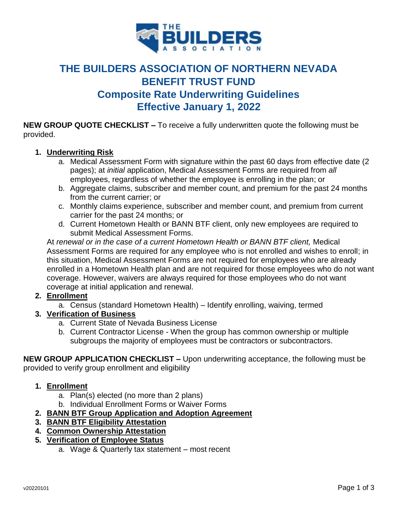

# **THE BUILDERS ASSOCIATION OF NORTHERN NEVADA BENEFIT TRUST FUND Composite Rate Underwriting Guidelines Effective January 1, 2022**

**NEW GROUP QUOTE CHECKLIST –** To receive a fully underwritten quote the following must be provided.

# **1. Underwriting Risk**

- a. Medical Assessment Form with signature within the past 60 days from effective date (2 pages); at *initial* application, Medical Assessment Forms are required from *all* employees, regardless of whether the employee is enrolling in the plan; or
- b. Aggregate claims, subscriber and member count, and premium for the past 24 months from the current carrier; or
- c. Monthly claims experience, subscriber and member count, and premium from current carrier for the past 24 months; or
- d. Current Hometown Health or BANN BTF client, only new employees are required to submit Medical Assessment Forms.

At *renewal or in the case of a current Hometown Health or BANN BTF client,* Medical Assessment Forms are required for any employee who is not enrolled and wishes to enroll; in this situation, Medical Assessment Forms are not required for employees who are already enrolled in a Hometown Health plan and are not required for those employees who do not want coverage. However, waivers are always required for those employees who do not want coverage at initial application and renewal.

# **2. Enrollment**

- a. Census (standard Hometown Health) Identify enrolling, waiving, termed
- **3. Verification of Business** 
	- a. Current State of Nevada Business License
	- b. Current Contractor License When the group has common ownership or multiple subgroups the majority of employees must be contractors or subcontractors.

**NEW GROUP APPLICATION CHECKLIST –** Upon underwriting acceptance, the following must be provided to verify group enrollment and eligibility

- **1. Enrollment**
	- a. Plan(s) elected (no more than 2 plans)
	- b. Individual Enrollment Forms or Waiver Forms
- **2. BANN BTF Group Application and Adoption Agreement**
- **3. BANN BTF Eligibility Attestation**
- **4. Common Ownership Attestation**
- **5. Verification of Employee Status**
	- a. Wage & Quarterly tax statement most recent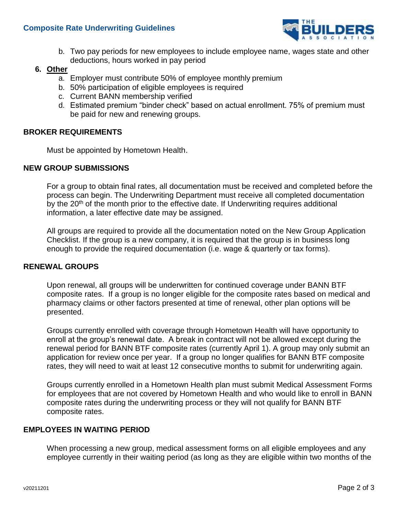

b. Two pay periods for new employees to include employee name, wages state and other deductions, hours worked in pay period

# **6. Other**

- a. Employer must contribute 50% of employee monthly premium
- b. 50% participation of eligible employees is required
- c. Current BANN membership verified
- d. Estimated premium "binder check" based on actual enrollment. 75% of premium must be paid for new and renewing groups.

### **BROKER REQUIREMENTS**

Must be appointed by Hometown Health.

### **NEW GROUP SUBMISSIONS**

For a group to obtain final rates, all documentation must be received and completed before the process can begin. The Underwriting Department must receive all completed documentation by the 20<sup>th</sup> of the month prior to the effective date. If Underwriting requires additional information, a later effective date may be assigned.

All groups are required to provide all the documentation noted on the New Group Application Checklist. If the group is a new company, it is required that the group is in business long enough to provide the required documentation (i.e. wage & quarterly or tax forms).

#### **RENEWAL GROUPS**

Upon renewal, all groups will be underwritten for continued coverage under BANN BTF composite rates. If a group is no longer eligible for the composite rates based on medical and pharmacy claims or other factors presented at time of renewal, other plan options will be presented.

Groups currently enrolled with coverage through Hometown Health will have opportunity to enroll at the group's renewal date. A break in contract will not be allowed except during the renewal period for BANN BTF composite rates (currently April 1). A group may only submit an application for review once per year. If a group no longer qualifies for BANN BTF composite rates, they will need to wait at least 12 consecutive months to submit for underwriting again.

Groups currently enrolled in a Hometown Health plan must submit Medical Assessment Forms for employees that are not covered by Hometown Health and who would like to enroll in BANN composite rates during the underwriting process or they will not qualify for BANN BTF composite rates.

#### **EMPLOYEES IN WAITING PERIOD**

When processing a new group, medical assessment forms on all eligible employees and any employee currently in their waiting period (as long as they are eligible within two months of the